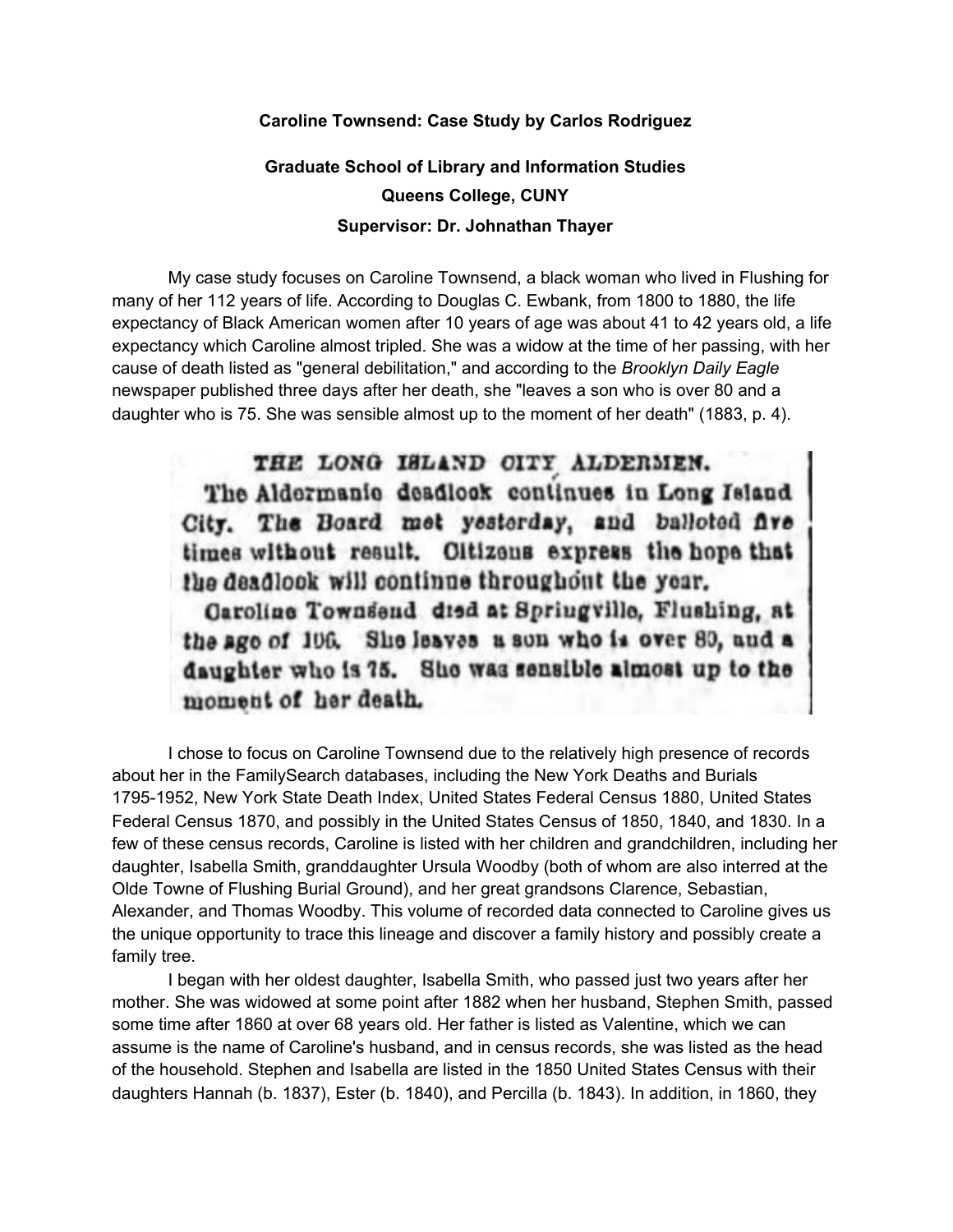## **Caroline Townsend: Case Study by Carlos Rodriguez**

## **Graduate School of Library and Information Studies Queens College, CUNY Supervisor: Dr. Johnathan Thayer**

My case study focuses on Caroline Townsend, a black woman who lived in Flushing for many of her 112 years of life. According to Douglas C. Ewbank, from 1800 to 1880, the life expectancy of Black American women after 10 years of age was about 41 to 42 years old, a life expectancy which Caroline almost tripled. She was a widow at the time of her passing, with her cause of death listed as "general debilitation," and according to the *Brooklyn Daily Eagle* newspaper published three days after her death, she "leaves a son who is over 80 and a daughter who is 75. She was sensible almost up to the moment of her death" (1883, p. 4).

THE LONG ISLAND CITY ALDERMEN. The Aldermanie deadlock continues in Long Island City. The Board met yesterday, and balloted five times without result. Oltizons express the hope that the deadlook will continue throughout the year.

Caroline Townsend died at Springville, Flushing, at the ago of 106. She leaves a son who is over 80, and a daughter who is 75. She was sensible almost up to the moment of her death.

I chose to focus on Caroline Townsend due to the relatively high presence of records about her in the FamilySearch databases, including the New York Deaths and Burials 1795-1952, New York State Death Index, United States Federal Census 1880, United States Federal Census 1870, and possibly in the United States Census of 1850, 1840, and 1830. In a few of these census records, Caroline is listed with her children and grandchildren, including her daughter, Isabella Smith, granddaughter Ursula Woodby (both of whom are also interred at the Olde Towne of Flushing Burial Ground), and her great grandsons Clarence, Sebastian, Alexander, and Thomas Woodby. This volume of recorded data connected to Caroline gives us the unique opportunity to trace this lineage and discover a family history and possibly create a family tree.

I began with her oldest daughter, Isabella Smith, who passed just two years after her mother. She was widowed at some point after 1882 when her husband, Stephen Smith, passed some time after 1860 at over 68 years old. Her father is listed as Valentine, which we can assume is the name of Caroline's husband, and in census records, she was listed as the head of the household. Stephen and Isabella are listed in the 1850 United States Census with their daughters Hannah (b. 1837), Ester (b. 1840), and Percilla (b. 1843). In addition, in 1860, they